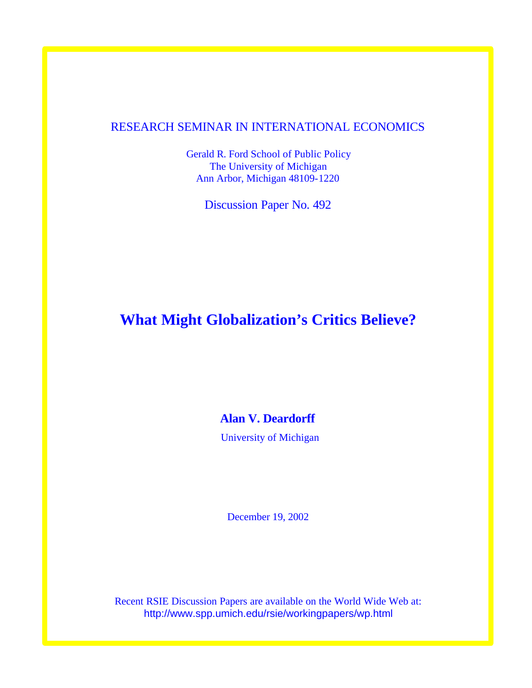## RESEARCH SEMINAR IN INTERNATIONAL ECONOMICS

Gerald R. Ford School of Public Policy The University of Michigan Ann Arbor, Michigan 48109-1220

Discussion Paper No. 492

# **What Might Globalization's Critics Believe?**

**Alan V. Deardorff** 

University of Michigan

December 19, 2002

Recent RSIE Discussion Papers are available on the World Wide Web at: http://www.spp.umich.edu/rsie/workingpapers/wp.html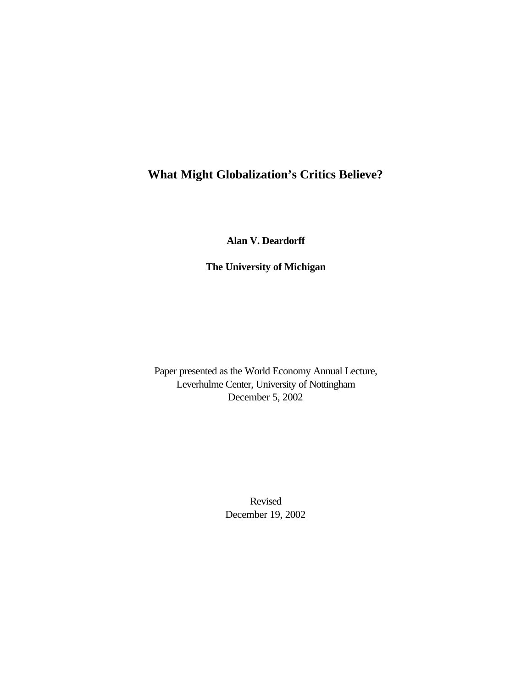# **What Might Globalization's Critics Believe?**

**Alan V. Deardorff**

**The University of Michigan**

Paper presented as the World Economy Annual Lecture, Leverhulme Center, University of Nottingham December 5, 2002

> Revised December 19, 2002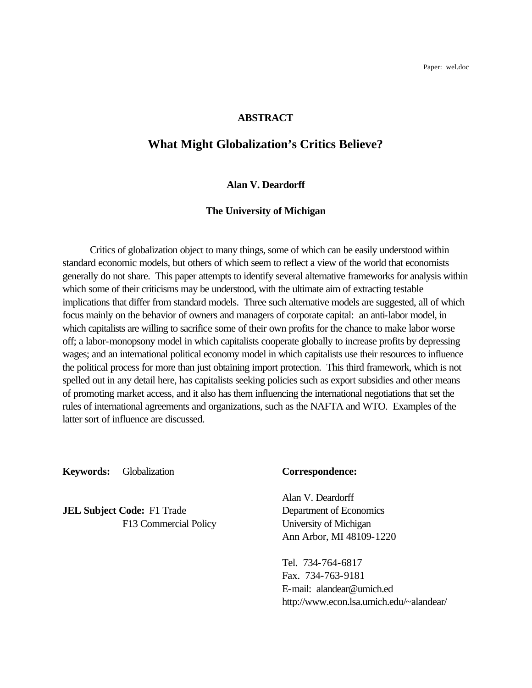Paper: wel.doc

#### **ABSTRACT**

## **What Might Globalization's Critics Believe?**

#### **Alan V. Deardorff**

#### **The University of Michigan**

Critics of globalization object to many things, some of which can be easily understood within standard economic models, but others of which seem to reflect a view of the world that economists generally do not share. This paper attempts to identify several alternative frameworks for analysis within which some of their criticisms may be understood, with the ultimate aim of extracting testable implications that differ from standard models. Three such alternative models are suggested, all of which focus mainly on the behavior of owners and managers of corporate capital: an anti-labor model, in which capitalists are willing to sacrifice some of their own profits for the chance to make labor worse off; a labor-monopsony model in which capitalists cooperate globally to increase profits by depressing wages; and an international political economy model in which capitalists use their resources to influence the political process for more than just obtaining import protection. This third framework, which is not spelled out in any detail here, has capitalists seeking policies such as export subsidies and other means of promoting market access, and it also has them influencing the international negotiations that set the rules of international agreements and organizations, such as the NAFTA and WTO. Examples of the latter sort of influence are discussed.

**Keywords:** Globalization **Correspondence:**

**JEL Subject Code:** F1 Trade Department of Economics

Alan V. Deardorff F13 Commercial Policy University of Michigan Ann Arbor, MI 48109-1220

> Tel. 734-764-6817 Fax. 734-763-9181 E-mail: alandear@umich.ed http://www.econ.lsa.umich.edu/~alandear/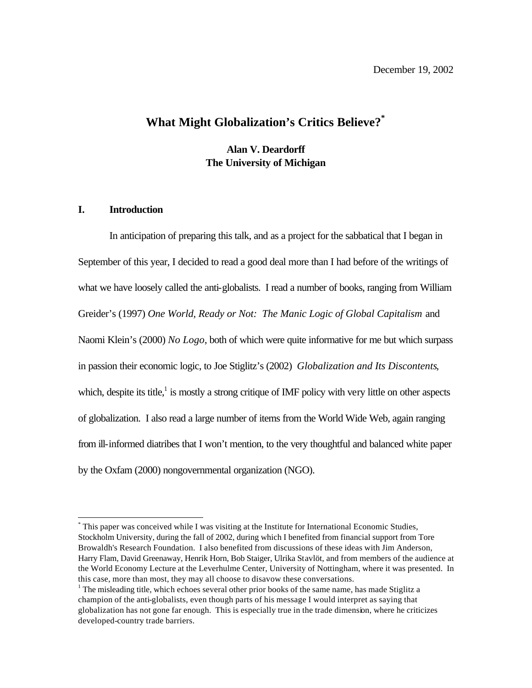# **What Might Globalization's Critics Believe?\***

**Alan V. Deardorff The University of Michigan**

#### **I. Introduction**

l

In anticipation of preparing this talk, and as a project for the sabbatical that I began in September of this year, I decided to read a good deal more than I had before of the writings of what we have loosely called the anti-globalists. I read a number of books, ranging from William Greider's (1997) *One World, Ready or Not: The Manic Logic of Global Capitalism* and Naomi Klein's (2000) *No Logo*, both of which were quite informative for me but which surpass in passion their economic logic, to Joe Stiglitz's (2002) *Globalization and Its Discontents*, which, despite its title, $\frac{1}{1}$  is mostly a strong critique of IMF policy with very little on other aspects of globalization. I also read a large number of items from the World Wide Web, again ranging from ill-informed diatribes that I won't mention, to the very thoughtful and balanced white paper by the Oxfam (2000) nongovernmental organization (NGO).

<sup>\*</sup> This paper was conceived while I was visiting at the Institute for International Economic Studies, Stockholm University, during the fall of 2002, during which I benefited from financial support from Tore Browaldh's Research Foundation. I also benefited from discussions of these ideas with Jim Anderson, Harry Flam, David Greenaway, Henrik Horn, Bob Staiger, Ulrika Stavlöt, and from members of the audience at the World Economy Lecture at the Leverhulme Center, University of Nottingham, where it was presented. In this case, more than most, they may all choose to disavow these conversations.

 $1$  The misleading title, which echoes several other prior books of the same name, has made Stiglitz a champion of the anti-globalists, even though parts of his message I would interpret as saying that globalization has not gone far enough. This is especially true in the trade dimension, where he criticizes developed-country trade barriers.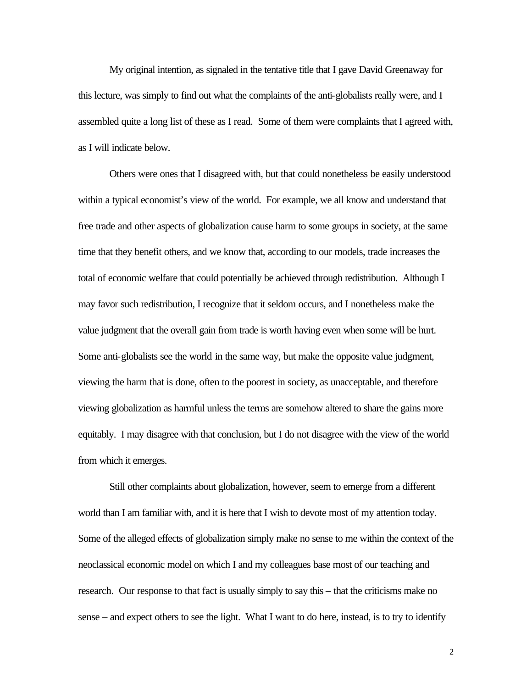My original intention, as signaled in the tentative title that I gave David Greenaway for this lecture, was simply to find out what the complaints of the anti-globalists really were, and I assembled quite a long list of these as I read. Some of them were complaints that I agreed with, as I will indicate below.

Others were ones that I disagreed with, but that could nonetheless be easily understood within a typical economist's view of the world. For example, we all know and understand that free trade and other aspects of globalization cause harm to some groups in society, at the same time that they benefit others, and we know that, according to our models, trade increases the total of economic welfare that could potentially be achieved through redistribution. Although I may favor such redistribution, I recognize that it seldom occurs, and I nonetheless make the value judgment that the overall gain from trade is worth having even when some will be hurt. Some anti-globalists see the world in the same way, but make the opposite value judgment, viewing the harm that is done, often to the poorest in society, as unacceptable, and therefore viewing globalization as harmful unless the terms are somehow altered to share the gains more equitably. I may disagree with that conclusion, but I do not disagree with the view of the world from which it emerges.

Still other complaints about globalization, however, seem to emerge from a different world than I am familiar with, and it is here that I wish to devote most of my attention today. Some of the alleged effects of globalization simply make no sense to me within the context of the neoclassical economic model on which I and my colleagues base most of our teaching and research. Our response to that fact is usually simply to say this – that the criticisms make no sense – and expect others to see the light. What I want to do here, instead, is to try to identify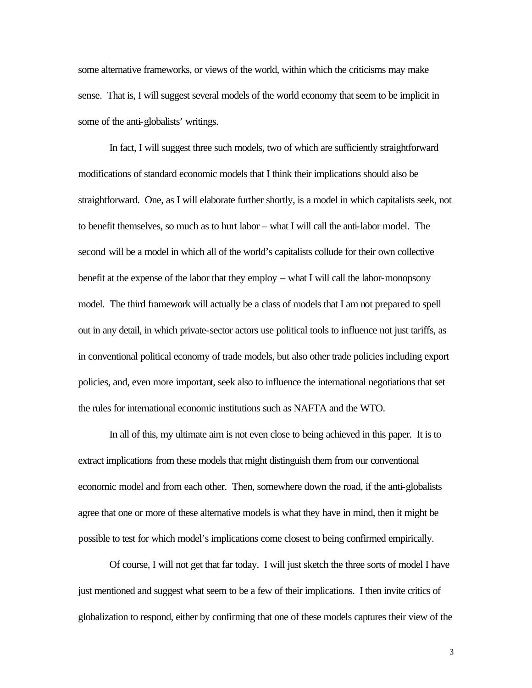some alternative frameworks, or views of the world, within which the criticisms may make sense. That is, I will suggest several models of the world economy that seem to be implicit in some of the anti-globalists' writings.

In fact, I will suggest three such models, two of which are sufficiently straightforward modifications of standard economic models that I think their implications should also be straightforward. One, as I will elaborate further shortly, is a model in which capitalists seek, not to benefit themselves, so much as to hurt labor – what I will call the anti-labor model. The second will be a model in which all of the world's capitalists collude for their own collective benefit at the expense of the labor that they employ – what I will call the labor-monopsony model. The third framework will actually be a class of models that I am not prepared to spell out in any detail, in which private-sector actors use political tools to influence not just tariffs, as in conventional political economy of trade models, but also other trade policies including export policies, and, even more important, seek also to influence the international negotiations that set the rules for international economic institutions such as NAFTA and the WTO.

In all of this, my ultimate aim is not even close to being achieved in this paper. It is to extract implications from these models that might distinguish them from our conventional economic model and from each other. Then, somewhere down the road, if the anti-globalists agree that one or more of these alternative models is what they have in mind, then it might be possible to test for which model's implications come closest to being confirmed empirically.

Of course, I will not get that far today. I will just sketch the three sorts of model I have just mentioned and suggest what seem to be a few of their implications. I then invite critics of globalization to respond, either by confirming that one of these models captures their view of the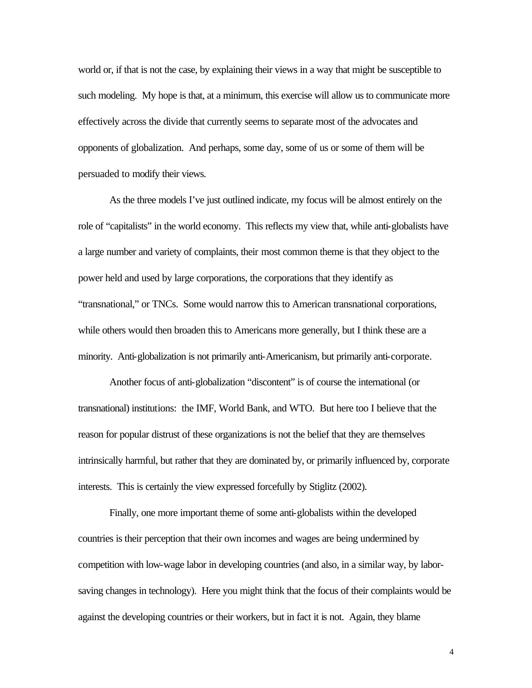world or, if that is not the case, by explaining their views in a way that might be susceptible to such modeling. My hope is that, at a minimum, this exercise will allow us to communicate more effectively across the divide that currently seems to separate most of the advocates and opponents of globalization. And perhaps, some day, some of us or some of them will be persuaded to modify their views.

As the three models I've just outlined indicate, my focus will be almost entirely on the role of "capitalists" in the world economy. This reflects my view that, while anti-globalists have a large number and variety of complaints, their most common theme is that they object to the power held and used by large corporations, the corporations that they identify as "transnational," or TNCs. Some would narrow this to American transnational corporations, while others would then broaden this to Americans more generally, but I think these are a minority. Anti-globalization is not primarily anti-Americanism, but primarily anti-corporate.

Another focus of anti-globalization "discontent" is of course the international (or transnational) institutions: the IMF, World Bank, and WTO. But here too I believe that the reason for popular distrust of these organizations is not the belief that they are themselves intrinsically harmful, but rather that they are dominated by, or primarily influenced by, corporate interests. This is certainly the view expressed forcefully by Stiglitz (2002).

Finally, one more important theme of some anti-globalists within the developed countries is their perception that their own incomes and wages are being undermined by competition with low-wage labor in developing countries (and also, in a similar way, by laborsaving changes in technology). Here you might think that the focus of their complaints would be against the developing countries or their workers, but in fact it is not. Again, they blame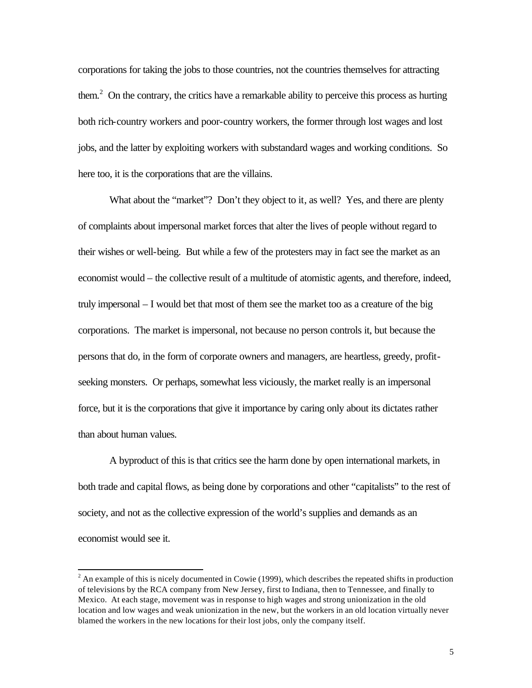corporations for taking the jobs to those countries, not the countries themselves for attracting them.<sup>2</sup> On the contrary, the critics have a remarkable ability to perceive this process as hurting both rich-country workers and poor-country workers, the former through lost wages and lost jobs, and the latter by exploiting workers with substandard wages and working conditions. So here too, it is the corporations that are the villains.

What about the "market"? Don't they object to it, as well? Yes, and there are plenty of complaints about impersonal market forces that alter the lives of people without regard to their wishes or well-being. But while a few of the protesters may in fact see the market as an economist would – the collective result of a multitude of atomistic agents, and therefore, indeed, truly impersonal – I would bet that most of them see the market too as a creature of the big corporations. The market is impersonal, not because no person controls it, but because the persons that do, in the form of corporate owners and managers, are heartless, greedy, profitseeking monsters. Or perhaps, somewhat less viciously, the market really is an impersonal force, but it is the corporations that give it importance by caring only about its dictates rather than about human values.

A byproduct of this is that critics see the harm done by open international markets, in both trade and capital flows, as being done by corporations and other "capitalists" to the rest of society, and not as the collective expression of the world's supplies and demands as an economist would see it.

l

 $2^{2}$  An example of this is nicely documented in Cowie (1999), which describes the repeated shifts in production of televisions by the RCA company from New Jersey, first to Indiana, then to Tennessee, and finally to Mexico. At each stage, movement was in response to high wages and strong unionization in the old location and low wages and weak unionization in the new, but the workers in an old location virtually never blamed the workers in the new locations for their lost jobs, only the company itself.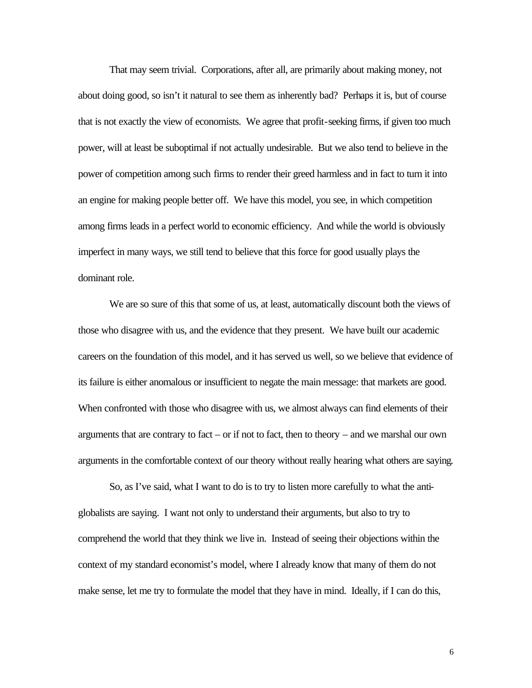That may seem trivial. Corporations, after all, are primarily about making money, not about doing good, so isn't it natural to see them as inherently bad? Perhaps it is, but of course that is not exactly the view of economists. We agree that profit-seeking firms, if given too much power, will at least be suboptimal if not actually undesirable. But we also tend to believe in the power of competition among such firms to render their greed harmless and in fact to turn it into an engine for making people better off. We have this model, you see, in which competition among firms leads in a perfect world to economic efficiency. And while the world is obviously imperfect in many ways, we still tend to believe that this force for good usually plays the dominant role.

We are so sure of this that some of us, at least, automatically discount both the views of those who disagree with us, and the evidence that they present. We have built our academic careers on the foundation of this model, and it has served us well, so we believe that evidence of its failure is either anomalous or insufficient to negate the main message: that markets are good. When confronted with those who disagree with us, we almost always can find elements of their arguments that are contrary to fact – or if not to fact, then to theory – and we marshal our own arguments in the comfortable context of our theory without really hearing what others are saying.

So, as I've said, what I want to do is to try to listen more carefully to what the antiglobalists are saying. I want not only to understand their arguments, but also to try to comprehend the world that they think we live in. Instead of seeing their objections within the context of my standard economist's model, where I already know that many of them do not make sense, let me try to formulate the model that they have in mind. Ideally, if I can do this,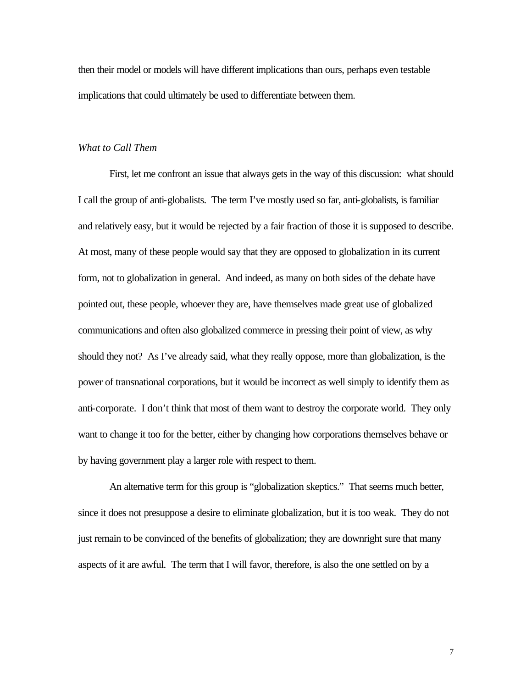then their model or models will have different implications than ours, perhaps even testable implications that could ultimately be used to differentiate between them.

#### *What to Call Them*

First, let me confront an issue that always gets in the way of this discussion: what should I call the group of anti-globalists. The term I've mostly used so far, anti-globalists, is familiar and relatively easy, but it would be rejected by a fair fraction of those it is supposed to describe. At most, many of these people would say that they are opposed to globalization in its current form, not to globalization in general. And indeed, as many on both sides of the debate have pointed out, these people, whoever they are, have themselves made great use of globalized communications and often also globalized commerce in pressing their point of view, as why should they not? As I've already said, what they really oppose, more than globalization, is the power of transnational corporations, but it would be incorrect as well simply to identify them as anti-corporate. I don't think that most of them want to destroy the corporate world. They only want to change it too for the better, either by changing how corporations themselves behave or by having government play a larger role with respect to them.

An alternative term for this group is "globalization skeptics." That seems much better, since it does not presuppose a desire to eliminate globalization, but it is too weak. They do not just remain to be convinced of the benefits of globalization; they are downright sure that many aspects of it are awful. The term that I will favor, therefore, is also the one settled on by a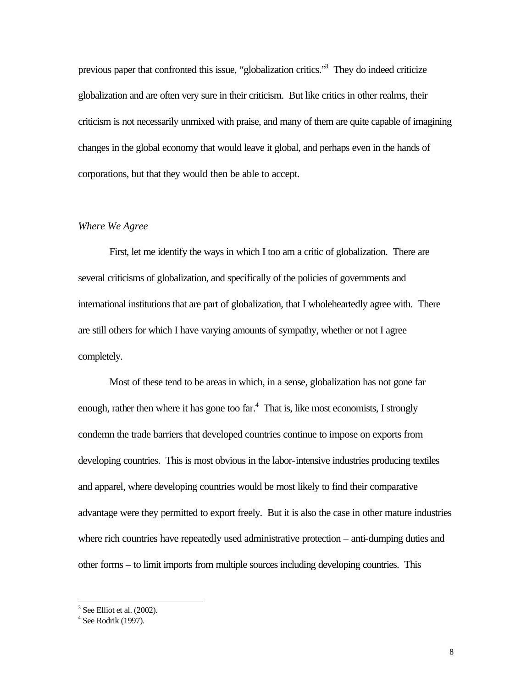previous paper that confronted this issue, "globalization critics."<sup>3</sup> They do indeed criticize globalization and are often very sure in their criticism. But like critics in other realms, their criticism is not necessarily unmixed with praise, and many of them are quite capable of imagining changes in the global economy that would leave it global, and perhaps even in the hands of corporations, but that they would then be able to accept.

#### *Where We Agree*

First, let me identify the ways in which I too am a critic of globalization. There are several criticisms of globalization, and specifically of the policies of governments and international institutions that are part of globalization, that I wholeheartedly agree with. There are still others for which I have varying amounts of sympathy, whether or not I agree completely.

Most of these tend to be areas in which, in a sense, globalization has not gone far enough, rather then where it has gone too far. $4$  That is, like most economists, I strongly condemn the trade barriers that developed countries continue to impose on exports from developing countries. This is most obvious in the labor-intensive industries producing textiles and apparel, where developing countries would be most likely to find their comparative advantage were they permitted to export freely. But it is also the case in other mature industries where rich countries have repeatedly used administrative protection – anti-dumping duties and other forms – to limit imports from multiple sources including developing countries. This

l

 $3$  See Elliot et al. (2002).

<sup>4</sup> See Rodrik (1997).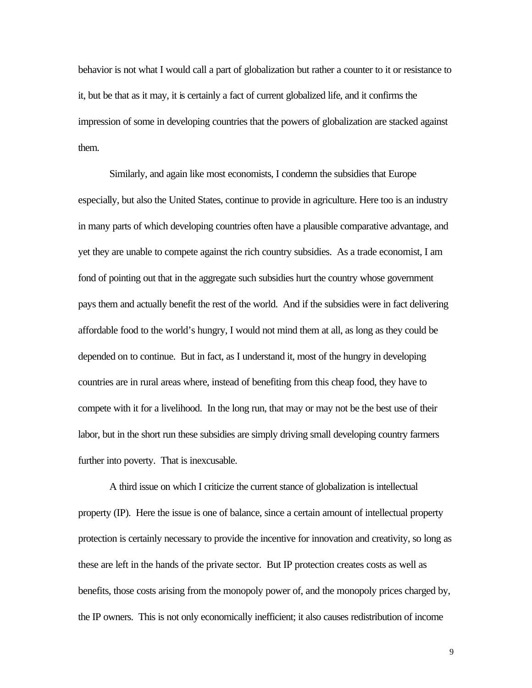behavior is not what I would call a part of globalization but rather a counter to it or resistance to it, but be that as it may, it is certainly a fact of current globalized life, and it confirms the impression of some in developing countries that the powers of globalization are stacked against them.

Similarly, and again like most economists, I condemn the subsidies that Europe especially, but also the United States, continue to provide in agriculture. Here too is an industry in many parts of which developing countries often have a plausible comparative advantage, and yet they are unable to compete against the rich country subsidies. As a trade economist, I am fond of pointing out that in the aggregate such subsidies hurt the country whose government pays them and actually benefit the rest of the world. And if the subsidies were in fact delivering affordable food to the world's hungry, I would not mind them at all, as long as they could be depended on to continue. But in fact, as I understand it, most of the hungry in developing countries are in rural areas where, instead of benefiting from this cheap food, they have to compete with it for a livelihood. In the long run, that may or may not be the best use of their labor, but in the short run these subsidies are simply driving small developing country farmers further into poverty. That is inexcusable.

A third issue on which I criticize the current stance of globalization is intellectual property (IP). Here the issue is one of balance, since a certain amount of intellectual property protection is certainly necessary to provide the incentive for innovation and creativity, so long as these are left in the hands of the private sector. But IP protection creates costs as well as benefits, those costs arising from the monopoly power of, and the monopoly prices charged by, the IP owners. This is not only economically inefficient; it also causes redistribution of income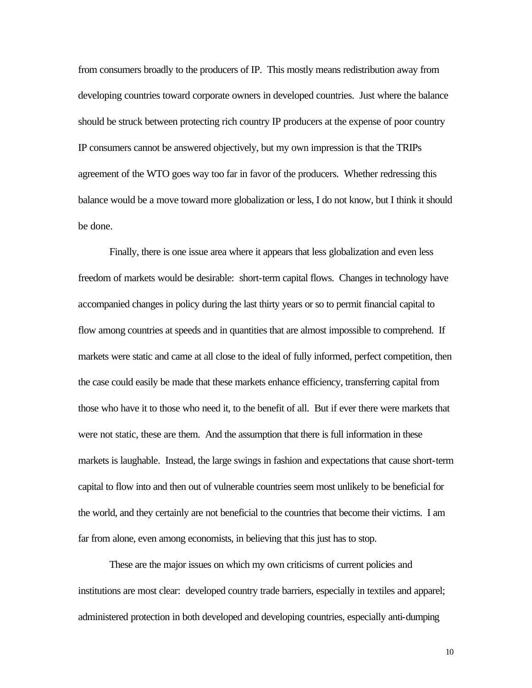from consumers broadly to the producers of IP. This mostly means redistribution away from developing countries toward corporate owners in developed countries. Just where the balance should be struck between protecting rich country IP producers at the expense of poor country IP consumers cannot be answered objectively, but my own impression is that the TRIPs agreement of the WTO goes way too far in favor of the producers. Whether redressing this balance would be a move toward more globalization or less, I do not know, but I think it should be done.

Finally, there is one issue area where it appears that less globalization and even less freedom of markets would be desirable: short-term capital flows. Changes in technology have accompanied changes in policy during the last thirty years or so to permit financial capital to flow among countries at speeds and in quantities that are almost impossible to comprehend. If markets were static and came at all close to the ideal of fully informed, perfect competition, then the case could easily be made that these markets enhance efficiency, transferring capital from those who have it to those who need it, to the benefit of all. But if ever there were markets that were not static, these are them. And the assumption that there is full information in these markets is laughable. Instead, the large swings in fashion and expectations that cause short-term capital to flow into and then out of vulnerable countries seem most unlikely to be beneficial for the world, and they certainly are not beneficial to the countries that become their victims. I am far from alone, even among economists, in believing that this just has to stop.

These are the major issues on which my own criticisms of current policies and institutions are most clear: developed country trade barriers, especially in textiles and apparel; administered protection in both developed and developing countries, especially anti-dumping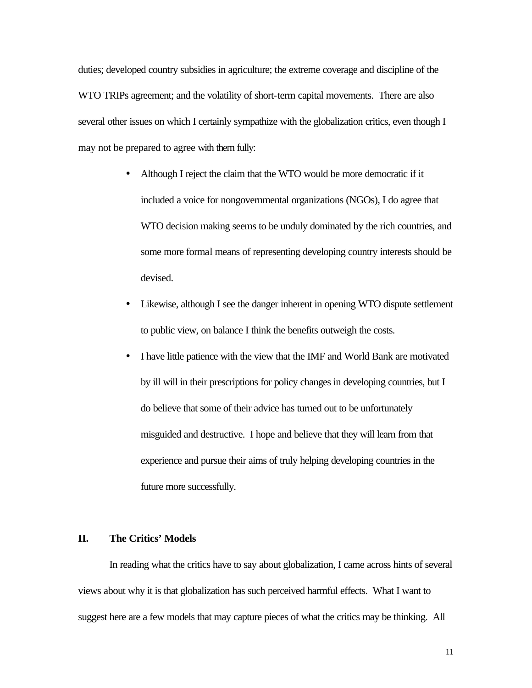duties; developed country subsidies in agriculture; the extreme coverage and discipline of the WTO TRIPs agreement; and the volatility of short-term capital movements. There are also several other issues on which I certainly sympathize with the globalization critics, even though I may not be prepared to agree with them fully:

- Although I reject the claim that the WTO would be more democratic if it included a voice for nongovernmental organizations (NGOs), I do agree that WTO decision making seems to be unduly dominated by the rich countries, and some more formal means of representing developing country interests should be devised.
- Likewise, although I see the danger inherent in opening WTO dispute settlement to public view, on balance I think the benefits outweigh the costs.
- I have little patience with the view that the IMF and World Bank are motivated by ill will in their prescriptions for policy changes in developing countries, but I do believe that some of their advice has turned out to be unfortunately misguided and destructive. I hope and believe that they will learn from that experience and pursue their aims of truly helping developing countries in the future more successfully.

### **II. The Critics' Models**

In reading what the critics have to say about globalization, I came across hints of several views about why it is that globalization has such perceived harmful effects. What I want to suggest here are a few models that may capture pieces of what the critics may be thinking. All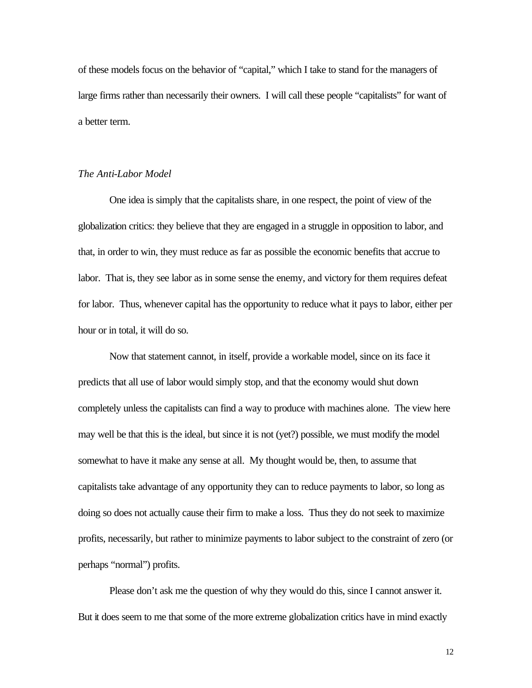of these models focus on the behavior of "capital," which I take to stand for the managers of large firms rather than necessarily their owners. I will call these people "capitalists" for want of a better term.

#### *The Anti-Labor Model*

One idea is simply that the capitalists share, in one respect, the point of view of the globalization critics: they believe that they are engaged in a struggle in opposition to labor, and that, in order to win, they must reduce as far as possible the economic benefits that accrue to labor. That is, they see labor as in some sense the enemy, and victory for them requires defeat for labor. Thus, whenever capital has the opportunity to reduce what it pays to labor, either per hour or in total, it will do so.

Now that statement cannot, in itself, provide a workable model, since on its face it predicts that all use of labor would simply stop, and that the economy would shut down completely unless the capitalists can find a way to produce with machines alone. The view here may well be that this is the ideal, but since it is not (yet?) possible, we must modify the model somewhat to have it make any sense at all. My thought would be, then, to assume that capitalists take advantage of any opportunity they can to reduce payments to labor, so long as doing so does not actually cause their firm to make a loss. Thus they do not seek to maximize profits, necessarily, but rather to minimize payments to labor subject to the constraint of zero (or perhaps "normal") profits.

Please don't ask me the question of why they would do this, since I cannot answer it. But it does seem to me that some of the more extreme globalization critics have in mind exactly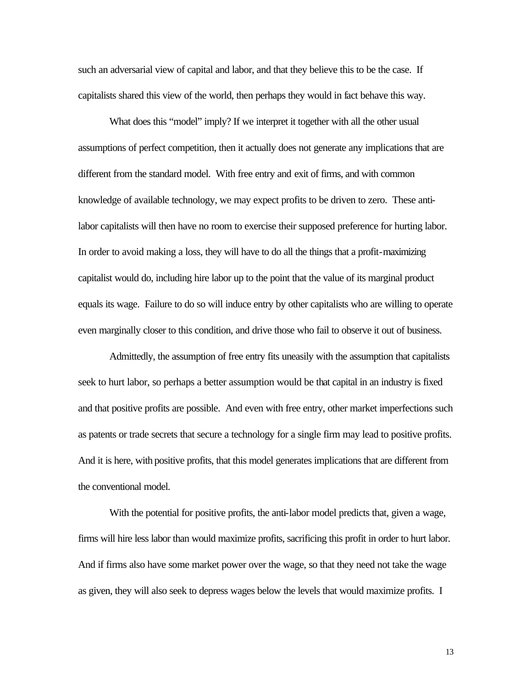such an adversarial view of capital and labor, and that they believe this to be the case. If capitalists shared this view of the world, then perhaps they would in fact behave this way.

What does this "model" imply? If we interpret it together with all the other usual assumptions of perfect competition, then it actually does not generate any implications that are different from the standard model. With free entry and exit of firms, and with common knowledge of available technology, we may expect profits to be driven to zero. These antilabor capitalists will then have no room to exercise their supposed preference for hurting labor. In order to avoid making a loss, they will have to do all the things that a profit-maximizing capitalist would do, including hire labor up to the point that the value of its marginal product equals its wage. Failure to do so will induce entry by other capitalists who are willing to operate even marginally closer to this condition, and drive those who fail to observe it out of business.

Admittedly, the assumption of free entry fits uneasily with the assumption that capitalists seek to hurt labor, so perhaps a better assumption would be that capital in an industry is fixed and that positive profits are possible. And even with free entry, other market imperfections such as patents or trade secrets that secure a technology for a single firm may lead to positive profits. And it is here, with positive profits, that this model generates implications that are different from the conventional model.

With the potential for positive profits, the anti-labor model predicts that, given a wage, firms will hire less labor than would maximize profits, sacrificing this profit in order to hurt labor. And if firms also have some market power over the wage, so that they need not take the wage as given, they will also seek to depress wages below the levels that would maximize profits. I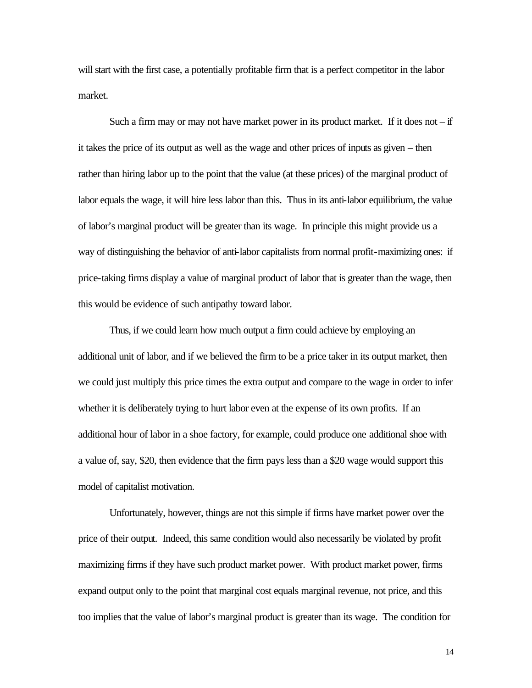will start with the first case, a potentially profitable firm that is a perfect competitor in the labor market.

Such a firm may or may not have market power in its product market. If it does not  $-$  if it takes the price of its output as well as the wage and other prices of inputs as given – then rather than hiring labor up to the point that the value (at these prices) of the marginal product of labor equals the wage, it will hire less labor than this. Thus in its anti-labor equilibrium, the value of labor's marginal product will be greater than its wage. In principle this might provide us a way of distinguishing the behavior of anti-labor capitalists from normal profit-maximizing ones: if price-taking firms display a value of marginal product of labor that is greater than the wage, then this would be evidence of such antipathy toward labor.

Thus, if we could learn how much output a firm could achieve by employing an additional unit of labor, and if we believed the firm to be a price taker in its output market, then we could just multiply this price times the extra output and compare to the wage in order to infer whether it is deliberately trying to hurt labor even at the expense of its own profits. If an additional hour of labor in a shoe factory, for example, could produce one additional shoe with a value of, say, \$20, then evidence that the firm pays less than a \$20 wage would support this model of capitalist motivation.

Unfortunately, however, things are not this simple if firms have market power over the price of their output. Indeed, this same condition would also necessarily be violated by profit maximizing firms if they have such product market power. With product market power, firms expand output only to the point that marginal cost equals marginal revenue, not price, and this too implies that the value of labor's marginal product is greater than its wage. The condition for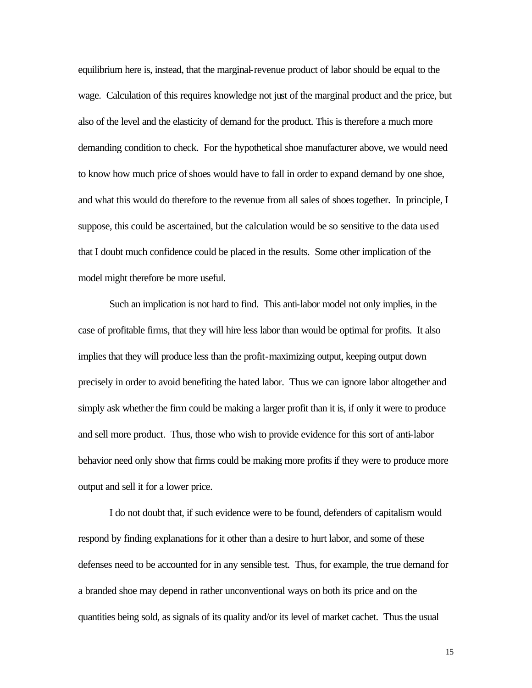equilibrium here is, instead, that the marginal-revenue product of labor should be equal to the wage. Calculation of this requires knowledge not just of the marginal product and the price, but also of the level and the elasticity of demand for the product. This is therefore a much more demanding condition to check. For the hypothetical shoe manufacturer above, we would need to know how much price of shoes would have to fall in order to expand demand by one shoe, and what this would do therefore to the revenue from all sales of shoes together. In principle, I suppose, this could be ascertained, but the calculation would be so sensitive to the data used that I doubt much confidence could be placed in the results. Some other implication of the model might therefore be more useful.

Such an implication is not hard to find. This anti-labor model not only implies, in the case of profitable firms, that they will hire less labor than would be optimal for profits. It also implies that they will produce less than the profit-maximizing output, keeping output down precisely in order to avoid benefiting the hated labor. Thus we can ignore labor altogether and simply ask whether the firm could be making a larger profit than it is, if only it were to produce and sell more product. Thus, those who wish to provide evidence for this sort of anti-labor behavior need only show that firms could be making more profits if they were to produce more output and sell it for a lower price.

I do not doubt that, if such evidence were to be found, defenders of capitalism would respond by finding explanations for it other than a desire to hurt labor, and some of these defenses need to be accounted for in any sensible test. Thus, for example, the true demand for a branded shoe may depend in rather unconventional ways on both its price and on the quantities being sold, as signals of its quality and/or its level of market cachet. Thus the usual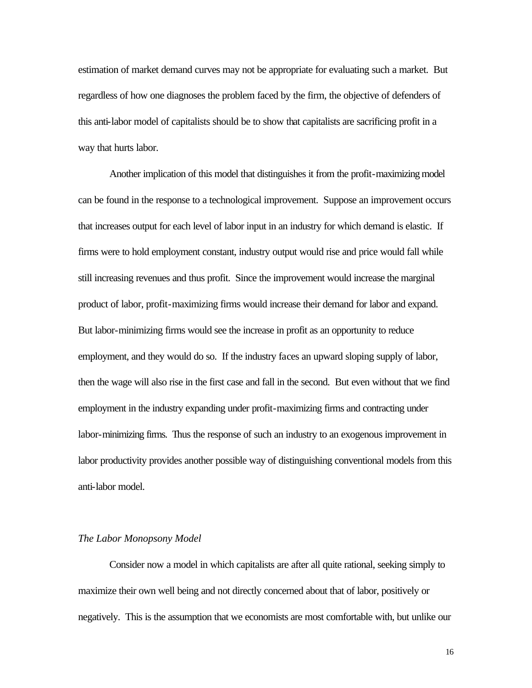estimation of market demand curves may not be appropriate for evaluating such a market. But regardless of how one diagnoses the problem faced by the firm, the objective of defenders of this anti-labor model of capitalists should be to show that capitalists are sacrificing profit in a way that hurts labor.

Another implication of this model that distinguishes it from the profit-maximizing model can be found in the response to a technological improvement. Suppose an improvement occurs that increases output for each level of labor input in an industry for which demand is elastic. If firms were to hold employment constant, industry output would rise and price would fall while still increasing revenues and thus profit. Since the improvement would increase the marginal product of labor, profit-maximizing firms would increase their demand for labor and expand. But labor-minimizing firms would see the increase in profit as an opportunity to reduce employment, and they would do so. If the industry faces an upward sloping supply of labor, then the wage will also rise in the first case and fall in the second. But even without that we find employment in the industry expanding under profit-maximizing firms and contracting under labor-minimizing firms. Thus the response of such an industry to an exogenous improvement in labor productivity provides another possible way of distinguishing conventional models from this anti-labor model.

#### *The Labor Monopsony Model*

Consider now a model in which capitalists are after all quite rational, seeking simply to maximize their own well being and not directly concerned about that of labor, positively or negatively. This is the assumption that we economists are most comfortable with, but unlike our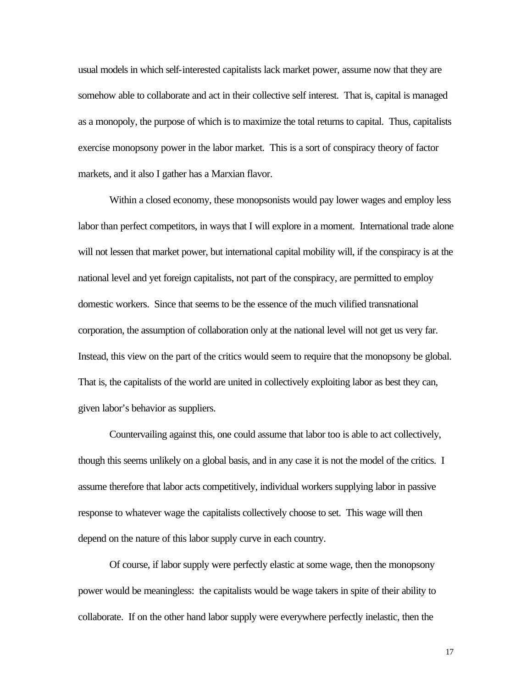usual models in which self-interested capitalists lack market power, assume now that they are somehow able to collaborate and act in their collective self interest. That is, capital is managed as a monopoly, the purpose of which is to maximize the total returns to capital. Thus, capitalists exercise monopsony power in the labor market. This is a sort of conspiracy theory of factor markets, and it also I gather has a Marxian flavor.

Within a closed economy, these monopsonists would pay lower wages and employ less labor than perfect competitors, in ways that I will explore in a moment. International trade alone will not lessen that market power, but international capital mobility will, if the conspiracy is at the national level and yet foreign capitalists, not part of the conspiracy, are permitted to employ domestic workers. Since that seems to be the essence of the much vilified transnational corporation, the assumption of collaboration only at the national level will not get us very far. Instead, this view on the part of the critics would seem to require that the monopsony be global. That is, the capitalists of the world are united in collectively exploiting labor as best they can, given labor's behavior as suppliers.

Countervailing against this, one could assume that labor too is able to act collectively, though this seems unlikely on a global basis, and in any case it is not the model of the critics. I assume therefore that labor acts competitively, individual workers supplying labor in passive response to whatever wage the capitalists collectively choose to set. This wage will then depend on the nature of this labor supply curve in each country.

Of course, if labor supply were perfectly elastic at some wage, then the monopsony power would be meaningless: the capitalists would be wage takers in spite of their ability to collaborate. If on the other hand labor supply were everywhere perfectly inelastic, then the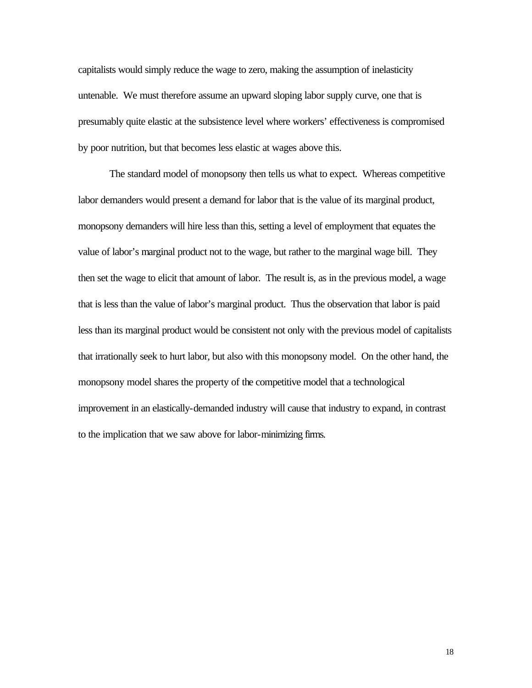capitalists would simply reduce the wage to zero, making the assumption of inelasticity untenable. We must therefore assume an upward sloping labor supply curve, one that is presumably quite elastic at the subsistence level where workers' effectiveness is compromised by poor nutrition, but that becomes less elastic at wages above this.

The standard model of monopsony then tells us what to expect. Whereas competitive labor demanders would present a demand for labor that is the value of its marginal product, monopsony demanders will hire less than this, setting a level of employment that equates the value of labor's marginal product not to the wage, but rather to the marginal wage bill. They then set the wage to elicit that amount of labor. The result is, as in the previous model, a wage that is less than the value of labor's marginal product. Thus the observation that labor is paid less than its marginal product would be consistent not only with the previous model of capitalists that irrationally seek to hurt labor, but also with this monopsony model. On the other hand, the monopsony model shares the property of the competitive model that a technological improvement in an elastically-demanded industry will cause that industry to expand, in contrast to the implication that we saw above for labor-minimizing firms.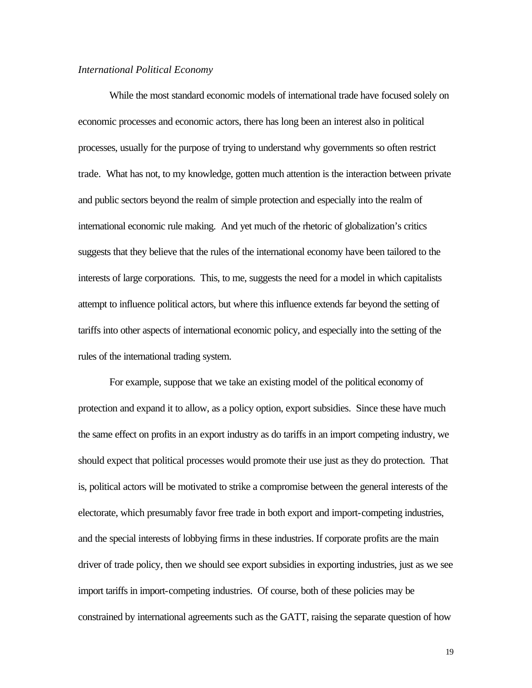#### *International Political Economy*

While the most standard economic models of international trade have focused solely on economic processes and economic actors, there has long been an interest also in political processes, usually for the purpose of trying to understand why governments so often restrict trade. What has not, to my knowledge, gotten much attention is the interaction between private and public sectors beyond the realm of simple protection and especially into the realm of international economic rule making. And yet much of the rhetoric of globalization's critics suggests that they believe that the rules of the international economy have been tailored to the interests of large corporations. This, to me, suggests the need for a model in which capitalists attempt to influence political actors, but where this influence extends far beyond the setting of tariffs into other aspects of international economic policy, and especially into the setting of the rules of the international trading system.

For example, suppose that we take an existing model of the political economy of protection and expand it to allow, as a policy option, export subsidies. Since these have much the same effect on profits in an export industry as do tariffs in an import competing industry, we should expect that political processes would promote their use just as they do protection. That is, political actors will be motivated to strike a compromise between the general interests of the electorate, which presumably favor free trade in both export and import-competing industries, and the special interests of lobbying firms in these industries. If corporate profits are the main driver of trade policy, then we should see export subsidies in exporting industries, just as we see import tariffs in import-competing industries. Of course, both of these policies may be constrained by international agreements such as the GATT, raising the separate question of how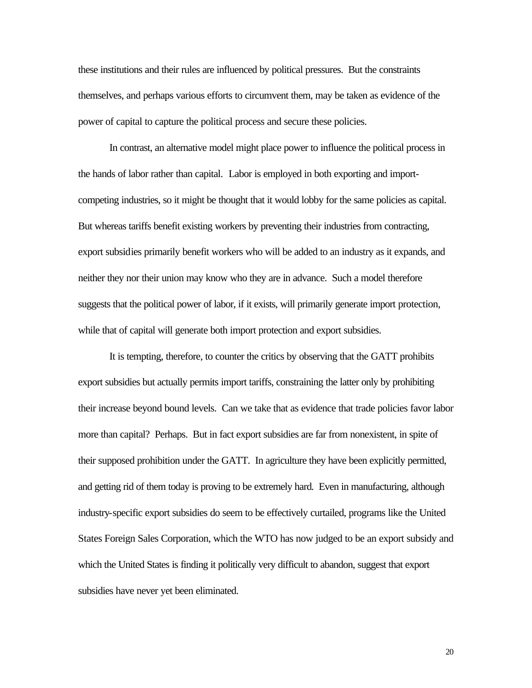these institutions and their rules are influenced by political pressures. But the constraints themselves, and perhaps various efforts to circumvent them, may be taken as evidence of the power of capital to capture the political process and secure these policies.

In contrast, an alternative model might place power to influence the political process in the hands of labor rather than capital. Labor is employed in both exporting and importcompeting industries, so it might be thought that it would lobby for the same policies as capital. But whereas tariffs benefit existing workers by preventing their industries from contracting, export subsidies primarily benefit workers who will be added to an industry as it expands, and neither they nor their union may know who they are in advance. Such a model therefore suggests that the political power of labor, if it exists, will primarily generate import protection, while that of capital will generate both import protection and export subsidies.

It is tempting, therefore, to counter the critics by observing that the GATT prohibits export subsidies but actually permits import tariffs, constraining the latter only by prohibiting their increase beyond bound levels. Can we take that as evidence that trade policies favor labor more than capital? Perhaps. But in fact export subsidies are far from nonexistent, in spite of their supposed prohibition under the GATT. In agriculture they have been explicitly permitted, and getting rid of them today is proving to be extremely hard. Even in manufacturing, although industry-specific export subsidies do seem to be effectively curtailed, programs like the United States Foreign Sales Corporation, which the WTO has now judged to be an export subsidy and which the United States is finding it politically very difficult to abandon, suggest that export subsidies have never yet been eliminated.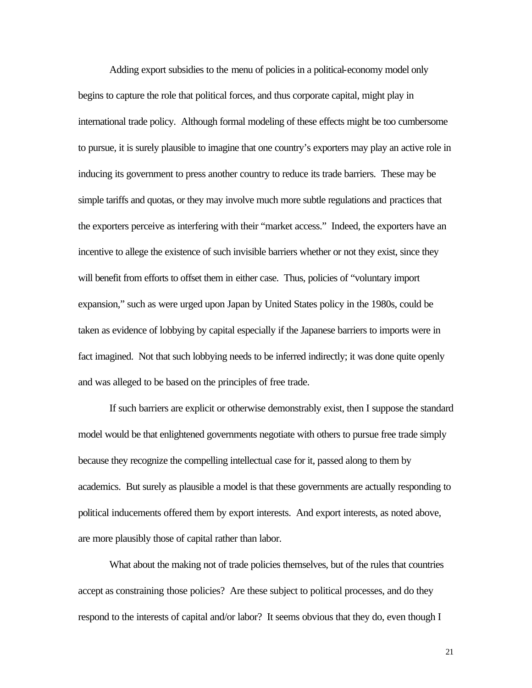Adding export subsidies to the menu of policies in a political-economy model only begins to capture the role that political forces, and thus corporate capital, might play in international trade policy. Although formal modeling of these effects might be too cumbersome to pursue, it is surely plausible to imagine that one country's exporters may play an active role in inducing its government to press another country to reduce its trade barriers. These may be simple tariffs and quotas, or they may involve much more subtle regulations and practices that the exporters perceive as interfering with their "market access." Indeed, the exporters have an incentive to allege the existence of such invisible barriers whether or not they exist, since they will benefit from efforts to offset them in either case. Thus, policies of "voluntary import expansion," such as were urged upon Japan by United States policy in the 1980s, could be taken as evidence of lobbying by capital especially if the Japanese barriers to imports were in fact imagined. Not that such lobbying needs to be inferred indirectly; it was done quite openly and was alleged to be based on the principles of free trade.

If such barriers are explicit or otherwise demonstrably exist, then I suppose the standard model would be that enlightened governments negotiate with others to pursue free trade simply because they recognize the compelling intellectual case for it, passed along to them by academics. But surely as plausible a model is that these governments are actually responding to political inducements offered them by export interests. And export interests, as noted above, are more plausibly those of capital rather than labor.

What about the making not of trade policies themselves, but of the rules that countries accept as constraining those policies? Are these subject to political processes, and do they respond to the interests of capital and/or labor? It seems obvious that they do, even though I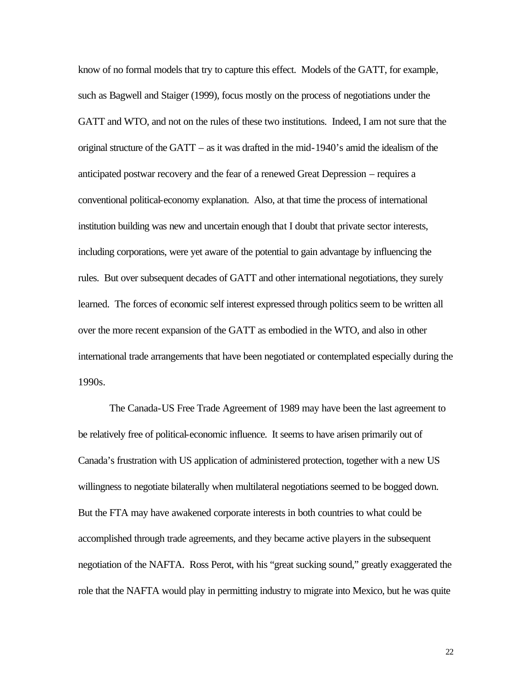know of no formal models that try to capture this effect. Models of the GATT, for example, such as Bagwell and Staiger (1999), focus mostly on the process of negotiations under the GATT and WTO, and not on the rules of these two institutions. Indeed, I am not sure that the original structure of the GATT – as it was drafted in the mid-1940's amid the idealism of the anticipated postwar recovery and the fear of a renewed Great Depression – requires a conventional political-economy explanation. Also, at that time the process of international institution building was new and uncertain enough that I doubt that private sector interests, including corporations, were yet aware of the potential to gain advantage by influencing the rules. But over subsequent decades of GATT and other international negotiations, they surely learned. The forces of economic self interest expressed through politics seem to be written all over the more recent expansion of the GATT as embodied in the WTO, and also in other international trade arrangements that have been negotiated or contemplated especially during the 1990s.

The Canada-US Free Trade Agreement of 1989 may have been the last agreement to be relatively free of political-economic influence. It seems to have arisen primarily out of Canada's frustration with US application of administered protection, together with a new US willingness to negotiate bilaterally when multilateral negotiations seemed to be bogged down. But the FTA may have awakened corporate interests in both countries to what could be accomplished through trade agreements, and they became active players in the subsequent negotiation of the NAFTA. Ross Perot, with his "great sucking sound," greatly exaggerated the role that the NAFTA would play in permitting industry to migrate into Mexico, but he was quite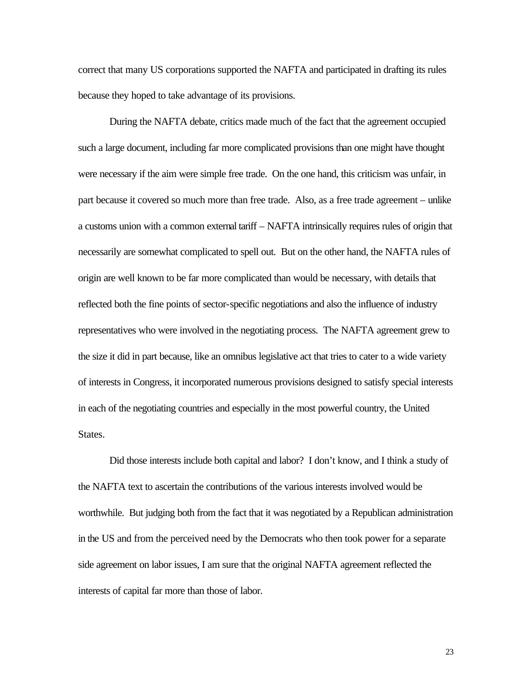correct that many US corporations supported the NAFTA and participated in drafting its rules because they hoped to take advantage of its provisions.

During the NAFTA debate, critics made much of the fact that the agreement occupied such a large document, including far more complicated provisions than one might have thought were necessary if the aim were simple free trade. On the one hand, this criticism was unfair, in part because it covered so much more than free trade. Also, as a free trade agreement – unlike a customs union with a common external tariff – NAFTA intrinsically requires rules of origin that necessarily are somewhat complicated to spell out. But on the other hand, the NAFTA rules of origin are well known to be far more complicated than would be necessary, with details that reflected both the fine points of sector-specific negotiations and also the influence of industry representatives who were involved in the negotiating process. The NAFTA agreement grew to the size it did in part because, like an omnibus legislative act that tries to cater to a wide variety of interests in Congress, it incorporated numerous provisions designed to satisfy special interests in each of the negotiating countries and especially in the most powerful country, the United States.

Did those interests include both capital and labor? I don't know, and I think a study of the NAFTA text to ascertain the contributions of the various interests involved would be worthwhile. But judging both from the fact that it was negotiated by a Republican administration in the US and from the perceived need by the Democrats who then took power for a separate side agreement on labor issues, I am sure that the original NAFTA agreement reflected the interests of capital far more than those of labor.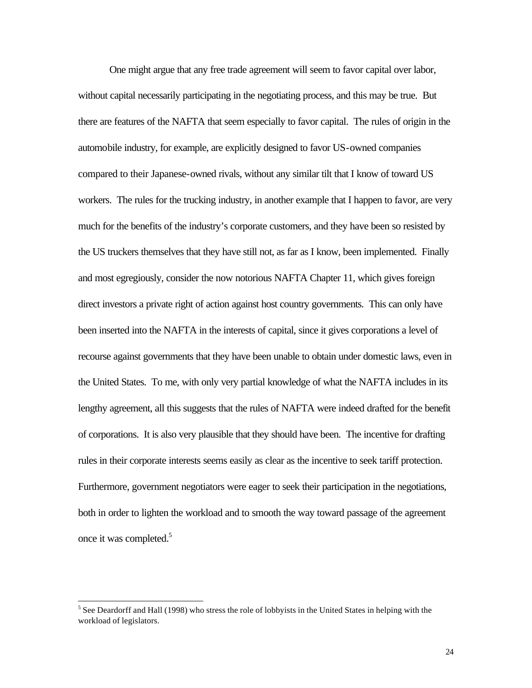One might argue that any free trade agreement will seem to favor capital over labor, without capital necessarily participating in the negotiating process, and this may be true. But there are features of the NAFTA that seem especially to favor capital. The rules of origin in the automobile industry, for example, are explicitly designed to favor US-owned companies compared to their Japanese-owned rivals, without any similar tilt that I know of toward US workers. The rules for the trucking industry, in another example that I happen to favor, are very much for the benefits of the industry's corporate customers, and they have been so resisted by the US truckers themselves that they have still not, as far as I know, been implemented. Finally and most egregiously, consider the now notorious NAFTA Chapter 11, which gives foreign direct investors a private right of action against host country governments. This can only have been inserted into the NAFTA in the interests of capital, since it gives corporations a level of recourse against governments that they have been unable to obtain under domestic laws, even in the United States. To me, with only very partial knowledge of what the NAFTA includes in its lengthy agreement, all this suggests that the rules of NAFTA were indeed drafted for the benefit of corporations. It is also very plausible that they should have been. The incentive for drafting rules in their corporate interests seems easily as clear as the incentive to seek tariff protection. Furthermore, government negotiators were eager to seek their participation in the negotiations, both in order to lighten the workload and to smooth the way toward passage of the agreement once it was completed.<sup>5</sup>

l

<sup>&</sup>lt;sup>5</sup> See Deardorff and Hall (1998) who stress the role of lobbyists in the United States in helping with the workload of legislators.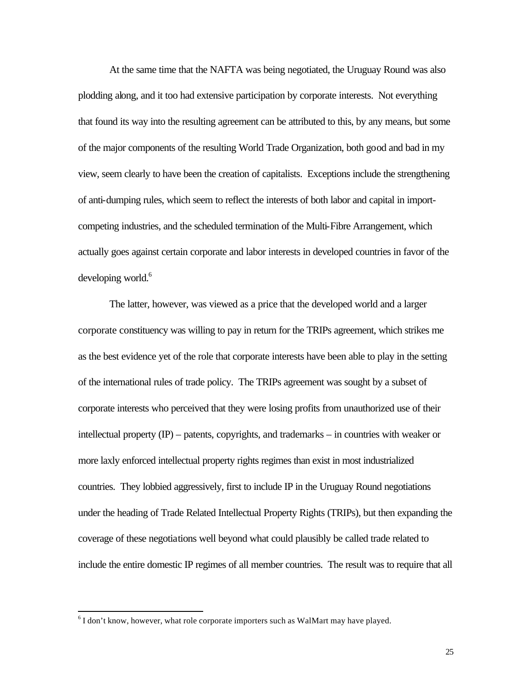At the same time that the NAFTA was being negotiated, the Uruguay Round was also plodding along, and it too had extensive participation by corporate interests. Not everything that found its way into the resulting agreement can be attributed to this, by any means, but some of the major components of the resulting World Trade Organization, both good and bad in my view, seem clearly to have been the creation of capitalists. Exceptions include the strengthening of anti-dumping rules, which seem to reflect the interests of both labor and capital in importcompeting industries, and the scheduled termination of the Multi-Fibre Arrangement, which actually goes against certain corporate and labor interests in developed countries in favor of the developing world.<sup>6</sup>

The latter, however, was viewed as a price that the developed world and a larger corporate constituency was willing to pay in return for the TRIPs agreement, which strikes me as the best evidence yet of the role that corporate interests have been able to play in the setting of the international rules of trade policy. The TRIPs agreement was sought by a subset of corporate interests who perceived that they were losing profits from unauthorized use of their intellectual property (IP) – patents, copyrights, and trademarks – in countries with weaker or more laxly enforced intellectual property rights regimes than exist in most industrialized countries. They lobbied aggressively, first to include IP in the Uruguay Round negotiations under the heading of Trade Related Intellectual Property Rights (TRIPs), but then expanding the coverage of these negotiations well beyond what could plausibly be called trade related to include the entire domestic IP regimes of all member countries. The result was to require that all

l

 $6$ I don't know, however, what role corporate importers such as WalMart may have played.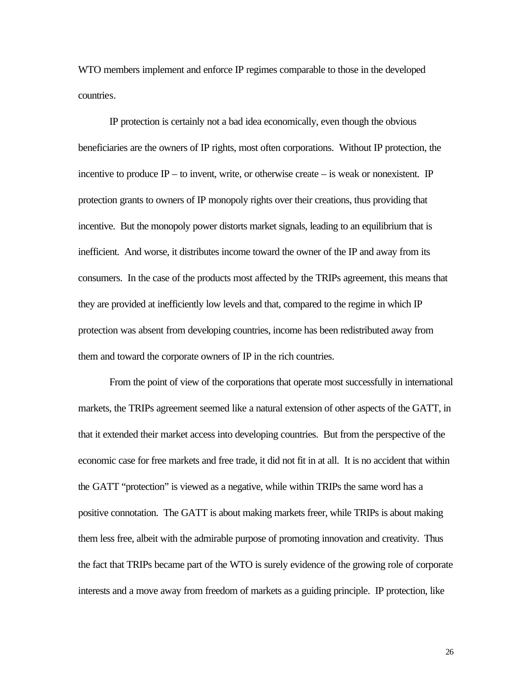WTO members implement and enforce IP regimes comparable to those in the developed countries.

IP protection is certainly not a bad idea economically, even though the obvious beneficiaries are the owners of IP rights, most often corporations. Without IP protection, the incentive to produce  $IP -$  to invent, write, or otherwise create  $-$  is weak or nonexistent. IP protection grants to owners of IP monopoly rights over their creations, thus providing that incentive. But the monopoly power distorts market signals, leading to an equilibrium that is inefficient. And worse, it distributes income toward the owner of the IP and away from its consumers. In the case of the products most affected by the TRIPs agreement, this means that they are provided at inefficiently low levels and that, compared to the regime in which IP protection was absent from developing countries, income has been redistributed away from them and toward the corporate owners of IP in the rich countries.

From the point of view of the corporations that operate most successfully in international markets, the TRIPs agreement seemed like a natural extension of other aspects of the GATT, in that it extended their market access into developing countries. But from the perspective of the economic case for free markets and free trade, it did not fit in at all. It is no accident that within the GATT "protection" is viewed as a negative, while within TRIPs the same word has a positive connotation. The GATT is about making markets freer, while TRIPs is about making them less free, albeit with the admirable purpose of promoting innovation and creativity. Thus the fact that TRIPs became part of the WTO is surely evidence of the growing role of corporate interests and a move away from freedom of markets as a guiding principle. IP protection, like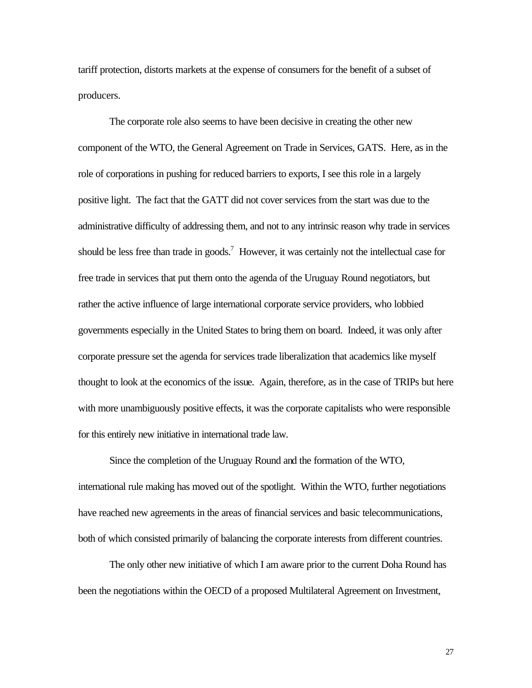tariff protection, distorts markets at the expense of consumers for the benefit of a subset of producers.

The corporate role also seems to have been decisive in creating the other new component of the WTO, the General Agreement on Trade in Services, GATS. Here, as in the role of corporations in pushing for reduced barriers to exports, I see this role in a largely positive light. The fact that the GATT did not cover services from the start was due to the administrative difficulty of addressing them, and not to any intrinsic reason why trade in services should be less free than trade in goods.<sup>7</sup> However, it was certainly not the intellectual case for free trade in services that put them onto the agenda of the Uruguay Round negotiators, but rather the active influence of large international corporate service providers, who lobbied governments especially in the United States to bring them on board. Indeed, it was only after corporate pressure set the agenda for services trade liberalization that academics like myself thought to look at the economics of the issue. Again, therefore, as in the case of TRIPs but here with more unambiguously positive effects, it was the corporate capitalists who were responsible for this entirely new initiative in international trade law.

Since the completion of the Uruguay Round and the formation of the WTO, international rule making has moved out of the spotlight. Within the WTO, further negotiations have reached new agreements in the areas of financial services and basic telecommunications, both of which consisted primarily of balancing the corporate interests from different countries.

The only other new initiative of which I am aware prior to the current Doha Round has been the negotiations within the OECD of a proposed Multilateral Agreement on Investment,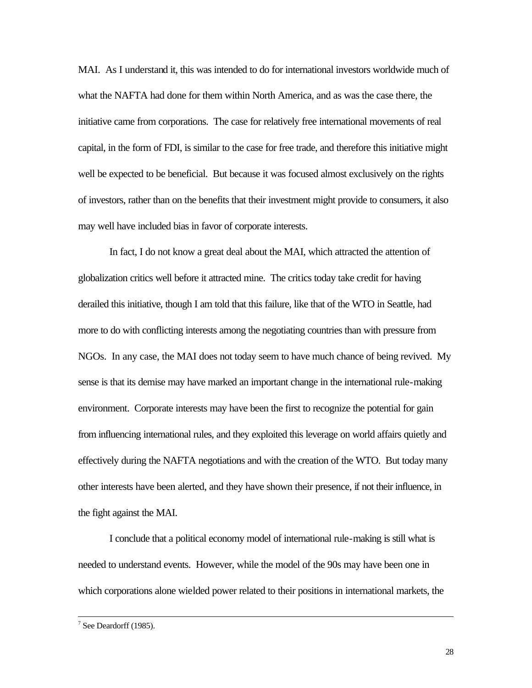MAI. As I understand it, this was intended to do for international investors worldwide much of what the NAFTA had done for them within North America, and as was the case there, the initiative came from corporations. The case for relatively free international movements of real capital, in the form of FDI, is similar to the case for free trade, and therefore this initiative might well be expected to be beneficial. But because it was focused almost exclusively on the rights of investors, rather than on the benefits that their investment might provide to consumers, it also may well have included bias in favor of corporate interests.

In fact, I do not know a great deal about the MAI, which attracted the attention of globalization critics well before it attracted mine. The critics today take credit for having derailed this initiative, though I am told that this failure, like that of the WTO in Seattle, had more to do with conflicting interests among the negotiating countries than with pressure from NGOs. In any case, the MAI does not today seem to have much chance of being revived. My sense is that its demise may have marked an important change in the international rule-making environment. Corporate interests may have been the first to recognize the potential for gain from influencing international rules, and they exploited this leverage on world affairs quietly and effectively during the NAFTA negotiations and with the creation of the WTO. But today many other interests have been alerted, and they have shown their presence, if not their influence, in the fight against the MAI.

I conclude that a political economy model of international rule-making is still what is needed to understand events. However, while the model of the 90s may have been one in which corporations alone wielded power related to their positions in international markets, the

l

 $7$  See Deardorff (1985).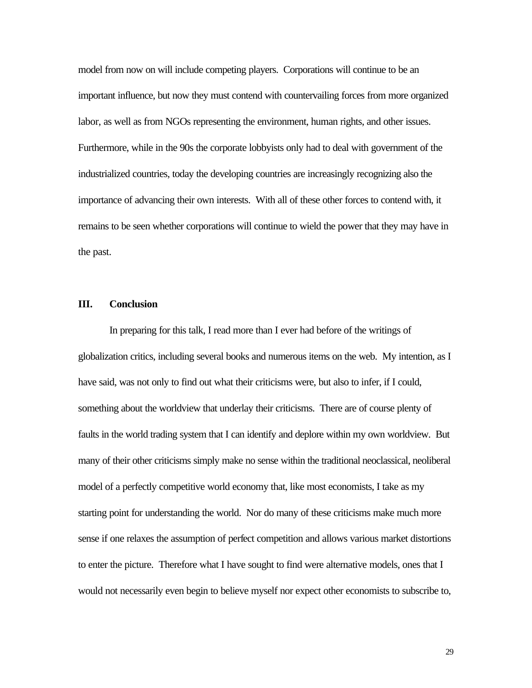model from now on will include competing players. Corporations will continue to be an important influence, but now they must contend with countervailing forces from more organized labor, as well as from NGOs representing the environment, human rights, and other issues. Furthermore, while in the 90s the corporate lobbyists only had to deal with government of the industrialized countries, today the developing countries are increasingly recognizing also the importance of advancing their own interests. With all of these other forces to contend with, it remains to be seen whether corporations will continue to wield the power that they may have in the past.

#### **III. Conclusion**

In preparing for this talk, I read more than I ever had before of the writings of globalization critics, including several books and numerous items on the web. My intention, as I have said, was not only to find out what their criticisms were, but also to infer, if I could, something about the worldview that underlay their criticisms. There are of course plenty of faults in the world trading system that I can identify and deplore within my own worldview. But many of their other criticisms simply make no sense within the traditional neoclassical, neoliberal model of a perfectly competitive world economy that, like most economists, I take as my starting point for understanding the world. Nor do many of these criticisms make much more sense if one relaxes the assumption of perfect competition and allows various market distortions to enter the picture. Therefore what I have sought to find were alternative models, ones that I would not necessarily even begin to believe myself nor expect other economists to subscribe to,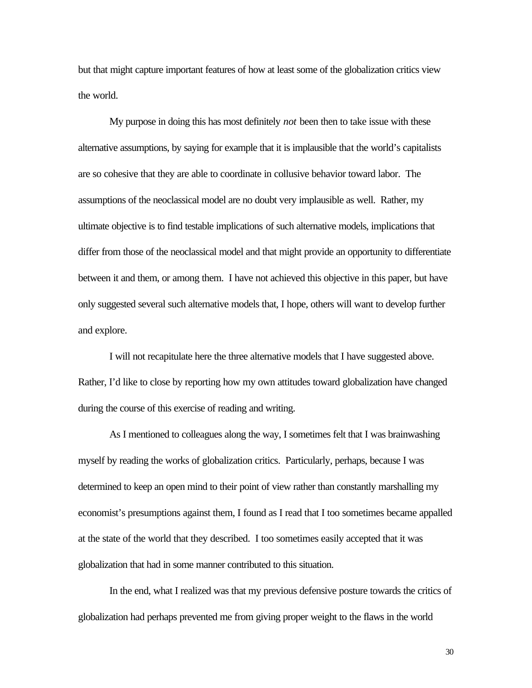but that might capture important features of how at least some of the globalization critics view the world.

My purpose in doing this has most definitely *not* been then to take issue with these alternative assumptions, by saying for example that it is implausible that the world's capitalists are so cohesive that they are able to coordinate in collusive behavior toward labor. The assumptions of the neoclassical model are no doubt very implausible as well. Rather, my ultimate objective is to find testable implications of such alternative models, implications that differ from those of the neoclassical model and that might provide an opportunity to differentiate between it and them, or among them. I have not achieved this objective in this paper, but have only suggested several such alternative models that, I hope, others will want to develop further and explore.

I will not recapitulate here the three alternative models that I have suggested above. Rather, I'd like to close by reporting how my own attitudes toward globalization have changed during the course of this exercise of reading and writing.

As I mentioned to colleagues along the way, I sometimes felt that I was brainwashing myself by reading the works of globalization critics. Particularly, perhaps, because I was determined to keep an open mind to their point of view rather than constantly marshalling my economist's presumptions against them, I found as I read that I too sometimes became appalled at the state of the world that they described. I too sometimes easily accepted that it was globalization that had in some manner contributed to this situation.

In the end, what I realized was that my previous defensive posture towards the critics of globalization had perhaps prevented me from giving proper weight to the flaws in the world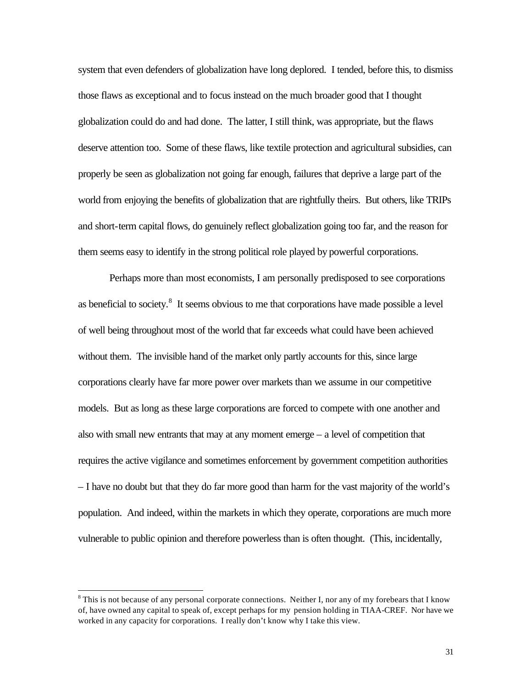system that even defenders of globalization have long deplored. I tended, before this, to dismiss those flaws as exceptional and to focus instead on the much broader good that I thought globalization could do and had done. The latter, I still think, was appropriate, but the flaws deserve attention too. Some of these flaws, like textile protection and agricultural subsidies, can properly be seen as globalization not going far enough, failures that deprive a large part of the world from enjoying the benefits of globalization that are rightfully theirs. But others, like TRIPs and short-term capital flows, do genuinely reflect globalization going too far, and the reason for them seems easy to identify in the strong political role played by powerful corporations.

Perhaps more than most economists, I am personally predisposed to see corporations as beneficial to society. $8$  It seems obvious to me that corporations have made possible a level of well being throughout most of the world that far exceeds what could have been achieved without them. The invisible hand of the market only partly accounts for this, since large corporations clearly have far more power over markets than we assume in our competitive models. But as long as these large corporations are forced to compete with one another and also with small new entrants that may at any moment emerge – a level of competition that requires the active vigilance and sometimes enforcement by government competition authorities – I have no doubt but that they do far more good than harm for the vast majority of the world's population. And indeed, within the markets in which they operate, corporations are much more vulnerable to public opinion and therefore powerless than is often thought. (This, incidentally,

l

<sup>&</sup>lt;sup>8</sup> This is not because of any personal corporate connections. Neither I, nor any of my forebears that I know of, have owned any capital to speak of, except perhaps for my pension holding in TIAA-CREF. Nor have we worked in any capacity for corporations. I really don't know why I take this view.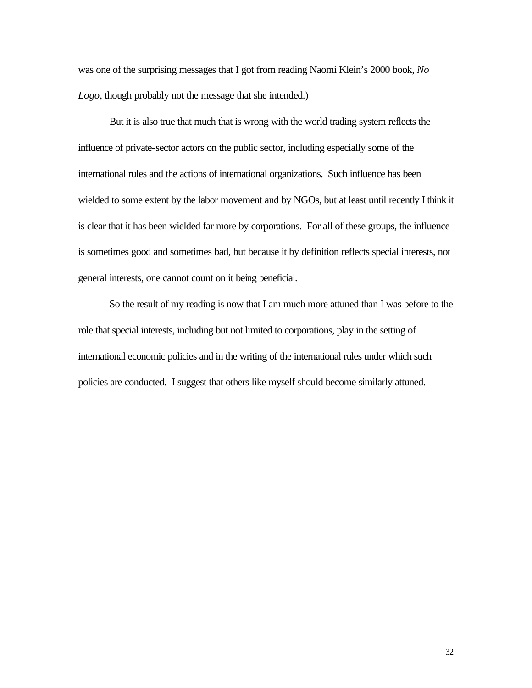was one of the surprising messages that I got from reading Naomi Klein's 2000 book, *No Logo*, though probably not the message that she intended.)

But it is also true that much that is wrong with the world trading system reflects the influence of private-sector actors on the public sector, including especially some of the international rules and the actions of international organizations. Such influence has been wielded to some extent by the labor movement and by NGOs, but at least until recently I think it is clear that it has been wielded far more by corporations. For all of these groups, the influence is sometimes good and sometimes bad, but because it by definition reflects special interests, not general interests, one cannot count on it being beneficial.

So the result of my reading is now that I am much more attuned than I was before to the role that special interests, including but not limited to corporations, play in the setting of international economic policies and in the writing of the international rules under which such policies are conducted. I suggest that others like myself should become similarly attuned.